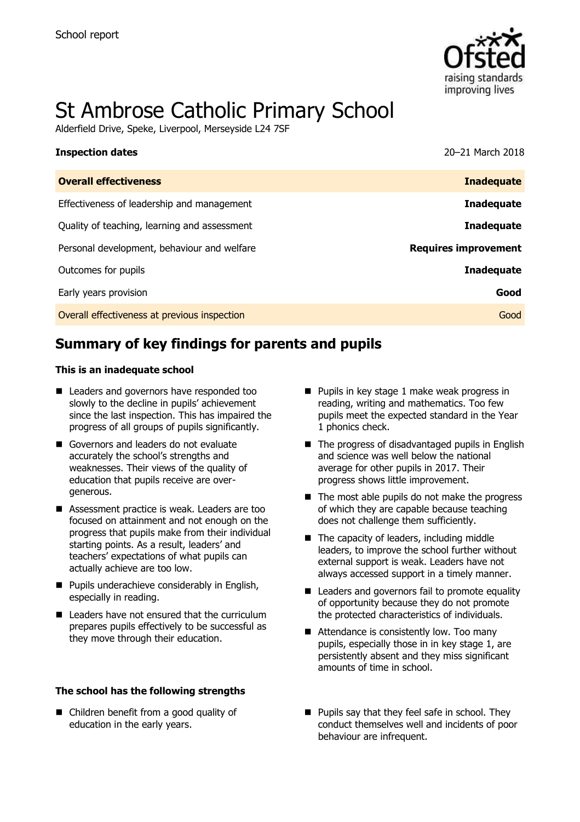

# St Ambrose Catholic Primary School

Alderfield Drive, Speke, Liverpool, Merseyside L24 7SF

| <b>Inspection dates</b>                      | 20-21 March 2018            |
|----------------------------------------------|-----------------------------|
| <b>Overall effectiveness</b>                 | <b>Inadequate</b>           |
| Effectiveness of leadership and management   | <b>Inadequate</b>           |
| Quality of teaching, learning and assessment | <b>Inadequate</b>           |
| Personal development, behaviour and welfare  | <b>Requires improvement</b> |
| Outcomes for pupils                          | <b>Inadequate</b>           |
| Early years provision                        | Good                        |
| Overall effectiveness at previous inspection | Good                        |

# **Summary of key findings for parents and pupils**

#### **This is an inadequate school**

- Leaders and governors have responded too slowly to the decline in pupils' achievement since the last inspection. This has impaired the progress of all groups of pupils significantly.
- Governors and leaders do not evaluate accurately the school's strengths and weaknesses. Their views of the quality of education that pupils receive are overgenerous.
- Assessment practice is weak. Leaders are too focused on attainment and not enough on the progress that pupils make from their individual starting points. As a result, leaders' and teachers' expectations of what pupils can actually achieve are too low.
- **Pupils underachieve considerably in English,** especially in reading.
- Leaders have not ensured that the curriculum prepares pupils effectively to be successful as they move through their education.

#### **The school has the following strengths**

■ Children benefit from a good quality of education in the early years.

- $\blacksquare$  Pupils in key stage 1 make weak progress in reading, writing and mathematics. Too few pupils meet the expected standard in the Year 1 phonics check.
- The progress of disadvantaged pupils in English and science was well below the national average for other pupils in 2017. Their progress shows little improvement.
- $\blacksquare$  The most able pupils do not make the progress of which they are capable because teaching does not challenge them sufficiently.
- The capacity of leaders, including middle leaders, to improve the school further without external support is weak. Leaders have not always accessed support in a timely manner.
- Leaders and governors fail to promote equality of opportunity because they do not promote the protected characteristics of individuals.
- Attendance is consistently low. Too many pupils, especially those in in key stage 1, are persistently absent and they miss significant amounts of time in school.
- **Pupils say that they feel safe in school. They** conduct themselves well and incidents of poor behaviour are infrequent.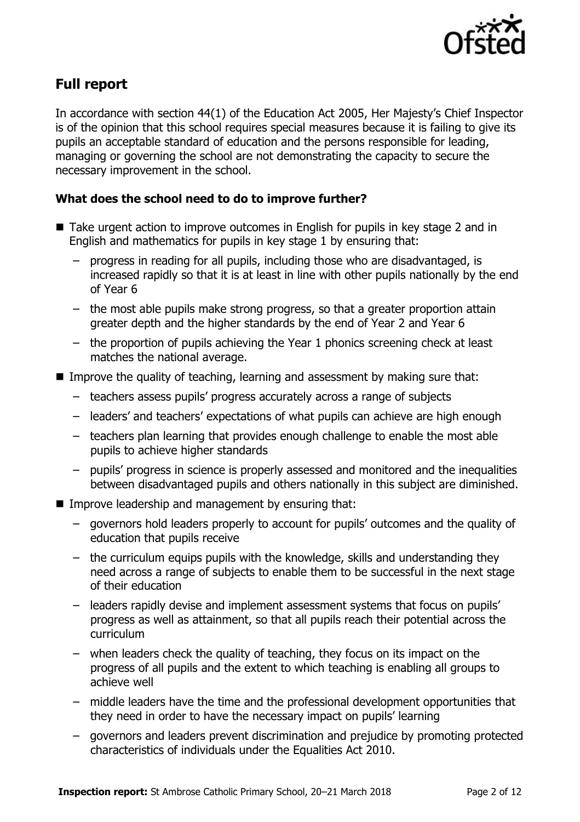

## **Full report**

In accordance with section 44(1) of the Education Act 2005, Her Majesty's Chief Inspector is of the opinion that this school requires special measures because it is failing to give its pupils an acceptable standard of education and the persons responsible for leading, managing or governing the school are not demonstrating the capacity to secure the necessary improvement in the school.

### **What does the school need to do to improve further?**

- Take urgent action to improve outcomes in English for pupils in key stage 2 and in English and mathematics for pupils in key stage 1 by ensuring that:
	- progress in reading for all pupils, including those who are disadvantaged, is increased rapidly so that it is at least in line with other pupils nationally by the end of Year 6
	- the most able pupils make strong progress, so that a greater proportion attain greater depth and the higher standards by the end of Year 2 and Year 6
	- the proportion of pupils achieving the Year 1 phonics screening check at least matches the national average.
- Improve the quality of teaching, learning and assessment by making sure that:
	- teachers assess pupils' progress accurately across a range of subjects
	- leaders' and teachers' expectations of what pupils can achieve are high enough
	- teachers plan learning that provides enough challenge to enable the most able pupils to achieve higher standards
	- pupils' progress in science is properly assessed and monitored and the inequalities between disadvantaged pupils and others nationally in this subject are diminished.
- **IMPROVE LEADERSHIP and management by ensuring that:** 
	- governors hold leaders properly to account for pupils' outcomes and the quality of education that pupils receive
	- the curriculum equips pupils with the knowledge, skills and understanding they need across a range of subjects to enable them to be successful in the next stage of their education
	- leaders rapidly devise and implement assessment systems that focus on pupils' progress as well as attainment, so that all pupils reach their potential across the curriculum
	- when leaders check the quality of teaching, they focus on its impact on the progress of all pupils and the extent to which teaching is enabling all groups to achieve well
	- middle leaders have the time and the professional development opportunities that they need in order to have the necessary impact on pupils' learning
	- governors and leaders prevent discrimination and prejudice by promoting protected characteristics of individuals under the Equalities Act 2010.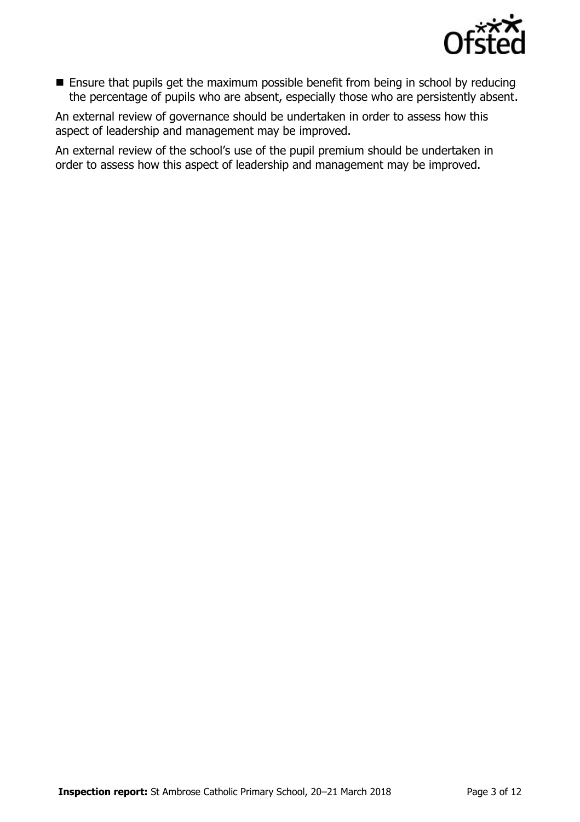

**Ensure that pupils get the maximum possible benefit from being in school by reducing** the percentage of pupils who are absent, especially those who are persistently absent.

An external review of governance should be undertaken in order to assess how this aspect of leadership and management may be improved.

An external review of the school's use of the pupil premium should be undertaken in order to assess how this aspect of leadership and management may be improved.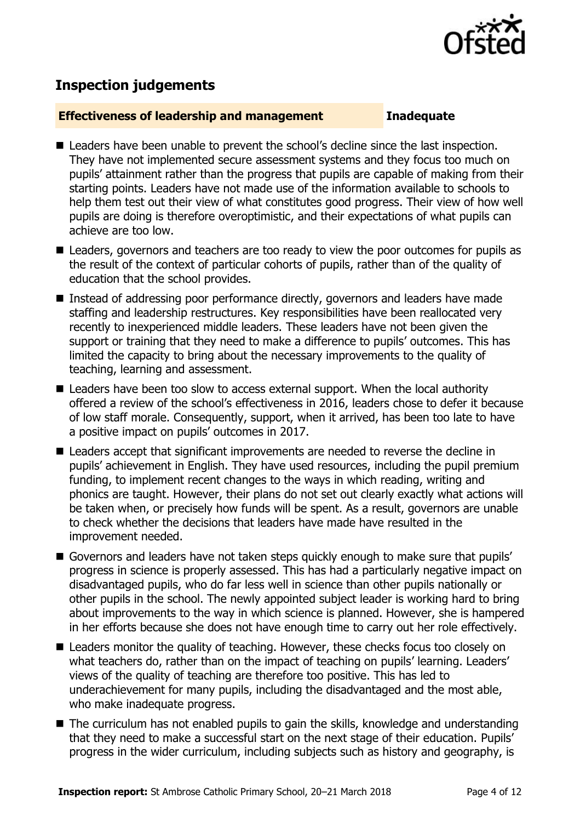

# **Inspection judgements**

#### **Effectiveness of leadership and management Inadequate**

- Leaders have been unable to prevent the school's decline since the last inspection. They have not implemented secure assessment systems and they focus too much on pupils' attainment rather than the progress that pupils are capable of making from their starting points. Leaders have not made use of the information available to schools to help them test out their view of what constitutes good progress. Their view of how well pupils are doing is therefore overoptimistic, and their expectations of what pupils can achieve are too low.
- Leaders, governors and teachers are too ready to view the poor outcomes for pupils as the result of the context of particular cohorts of pupils, rather than of the quality of education that the school provides.
- Instead of addressing poor performance directly, governors and leaders have made staffing and leadership restructures. Key responsibilities have been reallocated very recently to inexperienced middle leaders. These leaders have not been given the support or training that they need to make a difference to pupils' outcomes. This has limited the capacity to bring about the necessary improvements to the quality of teaching, learning and assessment.
- Leaders have been too slow to access external support. When the local authority offered a review of the school's effectiveness in 2016, leaders chose to defer it because of low staff morale. Consequently, support, when it arrived, has been too late to have a positive impact on pupils' outcomes in 2017.
- Leaders accept that significant improvements are needed to reverse the decline in pupils' achievement in English. They have used resources, including the pupil premium funding, to implement recent changes to the ways in which reading, writing and phonics are taught. However, their plans do not set out clearly exactly what actions will be taken when, or precisely how funds will be spent. As a result, governors are unable to check whether the decisions that leaders have made have resulted in the improvement needed.
- Governors and leaders have not taken steps quickly enough to make sure that pupils' progress in science is properly assessed. This has had a particularly negative impact on disadvantaged pupils, who do far less well in science than other pupils nationally or other pupils in the school. The newly appointed subject leader is working hard to bring about improvements to the way in which science is planned. However, she is hampered in her efforts because she does not have enough time to carry out her role effectively.
- Leaders monitor the quality of teaching. However, these checks focus too closely on what teachers do, rather than on the impact of teaching on pupils' learning. Leaders' views of the quality of teaching are therefore too positive. This has led to underachievement for many pupils, including the disadvantaged and the most able, who make inadequate progress.
- The curriculum has not enabled pupils to gain the skills, knowledge and understanding that they need to make a successful start on the next stage of their education. Pupils' progress in the wider curriculum, including subjects such as history and geography, is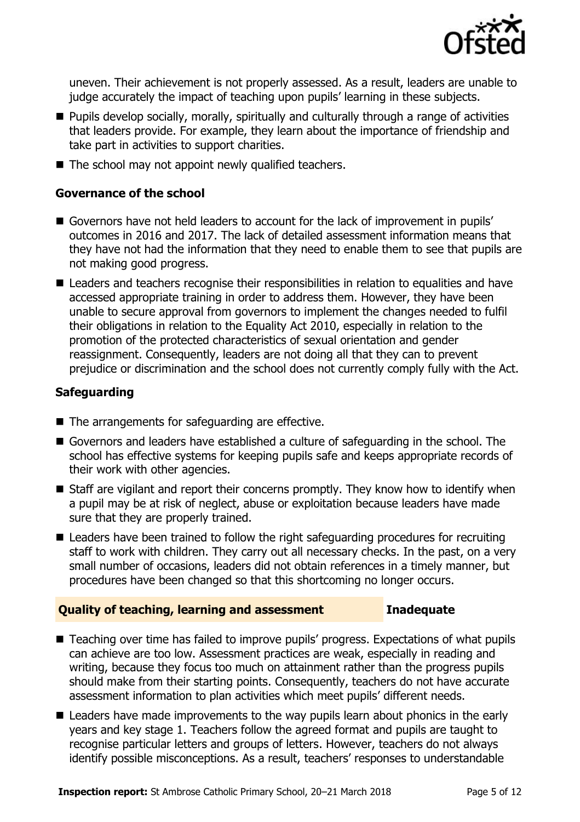

uneven. Their achievement is not properly assessed. As a result, leaders are unable to judge accurately the impact of teaching upon pupils' learning in these subjects.

- **Pupils develop socially, morally, spiritually and culturally through a range of activities** that leaders provide. For example, they learn about the importance of friendship and take part in activities to support charities.
- $\blacksquare$  The school may not appoint newly qualified teachers.

### **Governance of the school**

- Governors have not held leaders to account for the lack of improvement in pupils' outcomes in 2016 and 2017. The lack of detailed assessment information means that they have not had the information that they need to enable them to see that pupils are not making good progress.
- Leaders and teachers recognise their responsibilities in relation to equalities and have accessed appropriate training in order to address them. However, they have been unable to secure approval from governors to implement the changes needed to fulfil their obligations in relation to the Equality Act 2010, especially in relation to the promotion of the protected characteristics of sexual orientation and gender reassignment. Consequently, leaders are not doing all that they can to prevent prejudice or discrimination and the school does not currently comply fully with the Act.

### **Safeguarding**

- $\blacksquare$  The arrangements for safeguarding are effective.
- Governors and leaders have established a culture of safeguarding in the school. The school has effective systems for keeping pupils safe and keeps appropriate records of their work with other agencies.
- $\blacksquare$  Staff are vigilant and report their concerns promptly. They know how to identify when a pupil may be at risk of neglect, abuse or exploitation because leaders have made sure that they are properly trained.
- Leaders have been trained to follow the right safeguarding procedures for recruiting staff to work with children. They carry out all necessary checks. In the past, on a very small number of occasions, leaders did not obtain references in a timely manner, but procedures have been changed so that this shortcoming no longer occurs.

### **Quality of teaching, learning and assessment Inadequate**

- Teaching over time has failed to improve pupils' progress. Expectations of what pupils can achieve are too low. Assessment practices are weak, especially in reading and writing, because they focus too much on attainment rather than the progress pupils should make from their starting points. Consequently, teachers do not have accurate assessment information to plan activities which meet pupils' different needs.
- Leaders have made improvements to the way pupils learn about phonics in the early years and key stage 1. Teachers follow the agreed format and pupils are taught to recognise particular letters and groups of letters. However, teachers do not always identify possible misconceptions. As a result, teachers' responses to understandable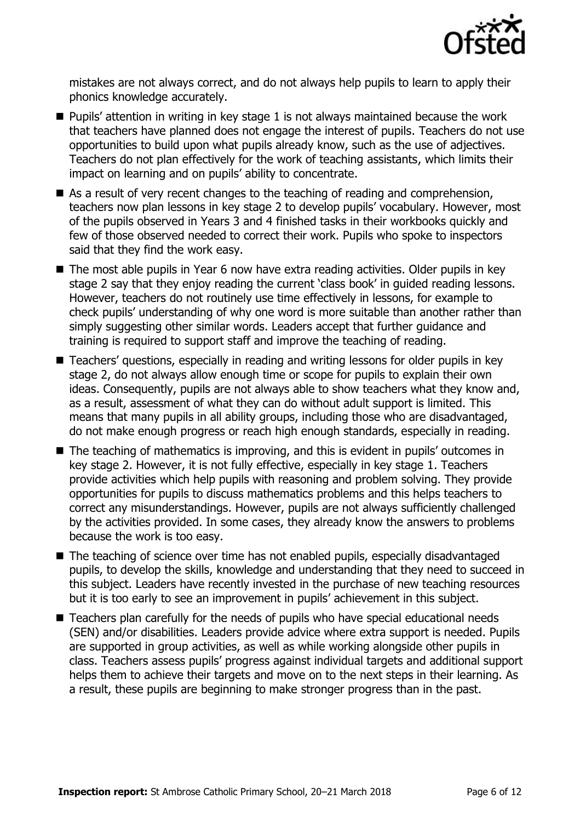

mistakes are not always correct, and do not always help pupils to learn to apply their phonics knowledge accurately.

- $\blacksquare$  Pupils' attention in writing in key stage 1 is not always maintained because the work that teachers have planned does not engage the interest of pupils. Teachers do not use opportunities to build upon what pupils already know, such as the use of adjectives. Teachers do not plan effectively for the work of teaching assistants, which limits their impact on learning and on pupils' ability to concentrate.
- As a result of very recent changes to the teaching of reading and comprehension, teachers now plan lessons in key stage 2 to develop pupils' vocabulary. However, most of the pupils observed in Years 3 and 4 finished tasks in their workbooks quickly and few of those observed needed to correct their work. Pupils who spoke to inspectors said that they find the work easy.
- The most able pupils in Year 6 now have extra reading activities. Older pupils in key stage 2 say that they enjoy reading the current 'class book' in guided reading lessons. However, teachers do not routinely use time effectively in lessons, for example to check pupils' understanding of why one word is more suitable than another rather than simply suggesting other similar words. Leaders accept that further guidance and training is required to support staff and improve the teaching of reading.
- Teachers' questions, especially in reading and writing lessons for older pupils in key stage 2, do not always allow enough time or scope for pupils to explain their own ideas. Consequently, pupils are not always able to show teachers what they know and, as a result, assessment of what they can do without adult support is limited. This means that many pupils in all ability groups, including those who are disadvantaged, do not make enough progress or reach high enough standards, especially in reading.
- The teaching of mathematics is improving, and this is evident in pupils' outcomes in key stage 2. However, it is not fully effective, especially in key stage 1. Teachers provide activities which help pupils with reasoning and problem solving. They provide opportunities for pupils to discuss mathematics problems and this helps teachers to correct any misunderstandings. However, pupils are not always sufficiently challenged by the activities provided. In some cases, they already know the answers to problems because the work is too easy.
- The teaching of science over time has not enabled pupils, especially disadvantaged pupils, to develop the skills, knowledge and understanding that they need to succeed in this subject. Leaders have recently invested in the purchase of new teaching resources but it is too early to see an improvement in pupils' achievement in this subject.
- Teachers plan carefully for the needs of pupils who have special educational needs (SEN) and/or disabilities. Leaders provide advice where extra support is needed. Pupils are supported in group activities, as well as while working alongside other pupils in class. Teachers assess pupils' progress against individual targets and additional support helps them to achieve their targets and move on to the next steps in their learning. As a result, these pupils are beginning to make stronger progress than in the past.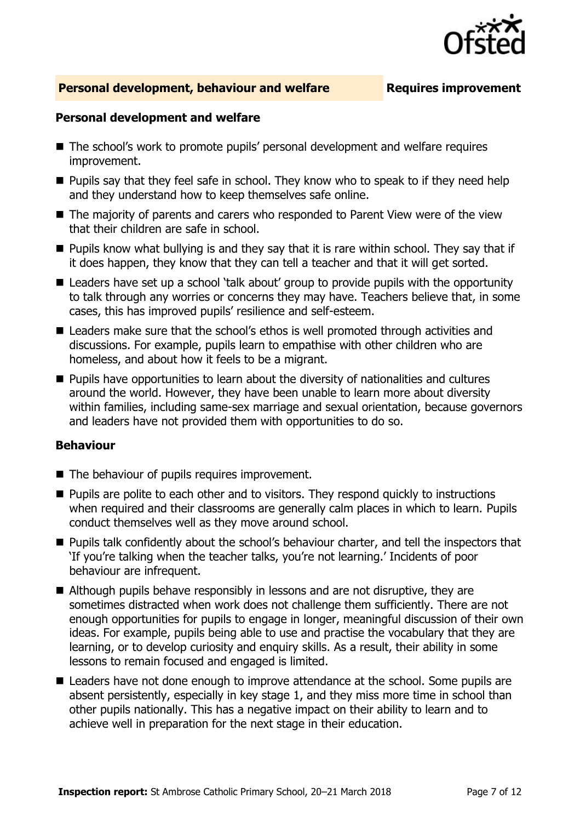

#### **Personal development, behaviour and welfare <b>Requires improvement**

#### **Personal development and welfare**

- The school's work to promote pupils' personal development and welfare requires improvement.
- **Pupils say that they feel safe in school. They know who to speak to if they need help** and they understand how to keep themselves safe online.
- The majority of parents and carers who responded to Parent View were of the view that their children are safe in school.
- $\blacksquare$  Pupils know what bullying is and they say that it is rare within school. They say that if it does happen, they know that they can tell a teacher and that it will get sorted.
- Leaders have set up a school 'talk about' group to provide pupils with the opportunity to talk through any worries or concerns they may have. Teachers believe that, in some cases, this has improved pupils' resilience and self-esteem.
- Leaders make sure that the school's ethos is well promoted through activities and discussions. For example, pupils learn to empathise with other children who are homeless, and about how it feels to be a migrant.
- **Pupils have opportunities to learn about the diversity of nationalities and cultures** around the world. However, they have been unable to learn more about diversity within families, including same-sex marriage and sexual orientation, because governors and leaders have not provided them with opportunities to do so.

#### **Behaviour**

- The behaviour of pupils requires improvement.
- **Pupils are polite to each other and to visitors. They respond quickly to instructions** when required and their classrooms are generally calm places in which to learn. Pupils conduct themselves well as they move around school.
- **Pupils talk confidently about the school's behaviour charter, and tell the inspectors that** 'If you're talking when the teacher talks, you're not learning.' Incidents of poor behaviour are infrequent.
- Although pupils behave responsibly in lessons and are not disruptive, they are sometimes distracted when work does not challenge them sufficiently. There are not enough opportunities for pupils to engage in longer, meaningful discussion of their own ideas. For example, pupils being able to use and practise the vocabulary that they are learning, or to develop curiosity and enquiry skills. As a result, their ability in some lessons to remain focused and engaged is limited.
- Leaders have not done enough to improve attendance at the school. Some pupils are absent persistently, especially in key stage 1, and they miss more time in school than other pupils nationally. This has a negative impact on their ability to learn and to achieve well in preparation for the next stage in their education.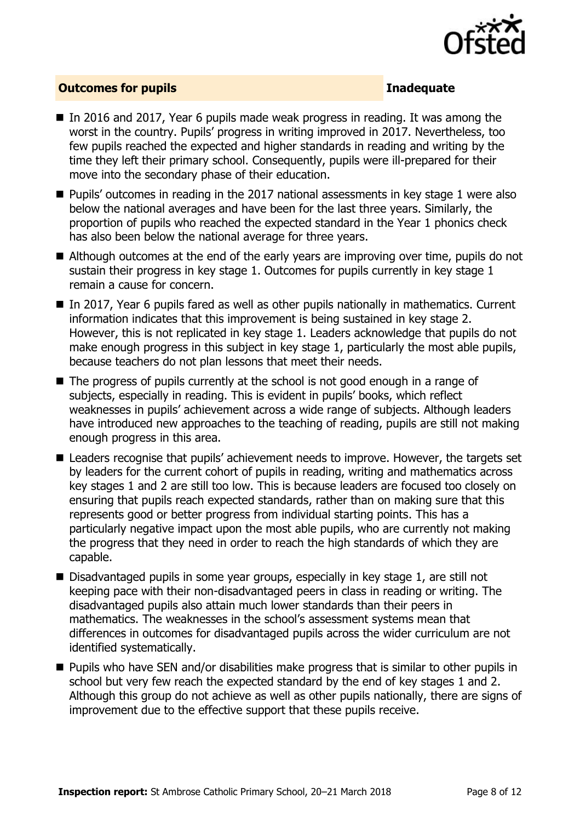

#### **Outcomes for pupils Inadequate**

- In 2016 and 2017, Year 6 pupils made weak progress in reading. It was among the worst in the country. Pupils' progress in writing improved in 2017. Nevertheless, too few pupils reached the expected and higher standards in reading and writing by the time they left their primary school. Consequently, pupils were ill-prepared for their move into the secondary phase of their education.
- $\blacksquare$  Pupils' outcomes in reading in the 2017 national assessments in key stage 1 were also below the national averages and have been for the last three years. Similarly, the proportion of pupils who reached the expected standard in the Year 1 phonics check has also been below the national average for three years.
- Although outcomes at the end of the early years are improving over time, pupils do not sustain their progress in key stage 1. Outcomes for pupils currently in key stage 1 remain a cause for concern.
- In 2017, Year 6 pupils fared as well as other pupils nationally in mathematics. Current information indicates that this improvement is being sustained in key stage 2. However, this is not replicated in key stage 1. Leaders acknowledge that pupils do not make enough progress in this subject in key stage 1, particularly the most able pupils, because teachers do not plan lessons that meet their needs.
- The progress of pupils currently at the school is not good enough in a range of subjects, especially in reading. This is evident in pupils' books, which reflect weaknesses in pupils' achievement across a wide range of subjects. Although leaders have introduced new approaches to the teaching of reading, pupils are still not making enough progress in this area.
- Leaders recognise that pupils' achievement needs to improve. However, the targets set by leaders for the current cohort of pupils in reading, writing and mathematics across key stages 1 and 2 are still too low. This is because leaders are focused too closely on ensuring that pupils reach expected standards, rather than on making sure that this represents good or better progress from individual starting points. This has a particularly negative impact upon the most able pupils, who are currently not making the progress that they need in order to reach the high standards of which they are capable.
- Disadvantaged pupils in some year groups, especially in key stage 1, are still not keeping pace with their non-disadvantaged peers in class in reading or writing. The disadvantaged pupils also attain much lower standards than their peers in mathematics. The weaknesses in the school's assessment systems mean that differences in outcomes for disadvantaged pupils across the wider curriculum are not identified systematically.
- **Pupils who have SEN and/or disabilities make progress that is similar to other pupils in** school but very few reach the expected standard by the end of key stages 1 and 2. Although this group do not achieve as well as other pupils nationally, there are signs of improvement due to the effective support that these pupils receive.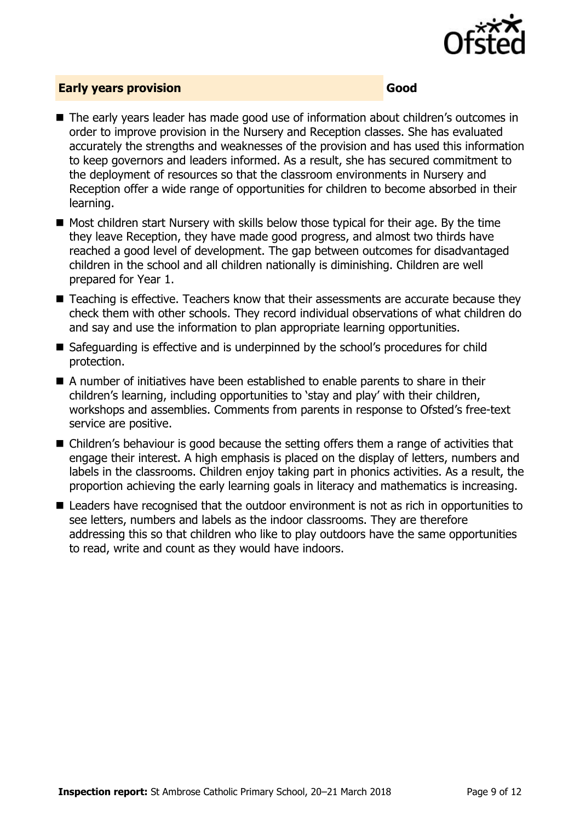

#### **Early years provision Good**

- The early years leader has made good use of information about children's outcomes in order to improve provision in the Nursery and Reception classes. She has evaluated accurately the strengths and weaknesses of the provision and has used this information to keep governors and leaders informed. As a result, she has secured commitment to the deployment of resources so that the classroom environments in Nursery and Reception offer a wide range of opportunities for children to become absorbed in their learning.
- $\blacksquare$  Most children start Nursery with skills below those typical for their age. By the time they leave Reception, they have made good progress, and almost two thirds have reached a good level of development. The gap between outcomes for disadvantaged children in the school and all children nationally is diminishing. Children are well prepared for Year 1.
- Teaching is effective. Teachers know that their assessments are accurate because they check them with other schools. They record individual observations of what children do and say and use the information to plan appropriate learning opportunities.
- Safeguarding is effective and is underpinned by the school's procedures for child protection.
- A number of initiatives have been established to enable parents to share in their children's learning, including opportunities to 'stay and play' with their children, workshops and assemblies. Comments from parents in response to Ofsted's free-text service are positive.
- Children's behaviour is good because the setting offers them a range of activities that engage their interest. A high emphasis is placed on the display of letters, numbers and labels in the classrooms. Children enjoy taking part in phonics activities. As a result, the proportion achieving the early learning goals in literacy and mathematics is increasing.
- Leaders have recognised that the outdoor environment is not as rich in opportunities to see letters, numbers and labels as the indoor classrooms. They are therefore addressing this so that children who like to play outdoors have the same opportunities to read, write and count as they would have indoors.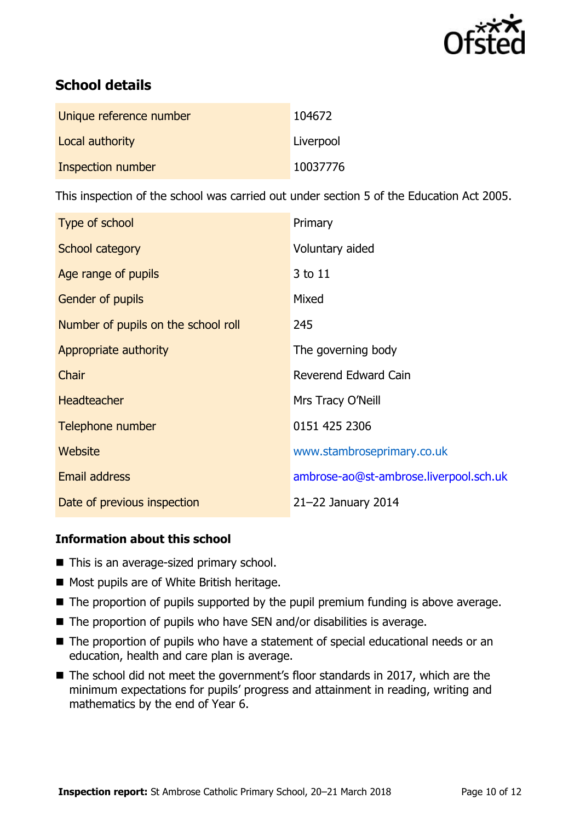

# **School details**

| Unique reference number | 104672    |
|-------------------------|-----------|
| Local authority         | Liverpool |
| Inspection number       | 10037776  |

This inspection of the school was carried out under section 5 of the Education Act 2005.

| Type of school                      | Primary                                |
|-------------------------------------|----------------------------------------|
| School category                     | Voluntary aided                        |
| Age range of pupils                 | 3 to 11                                |
| <b>Gender of pupils</b>             | Mixed                                  |
| Number of pupils on the school roll | 245                                    |
| Appropriate authority               | The governing body                     |
| Chair                               | Reverend Edward Cain                   |
| <b>Headteacher</b>                  | Mrs Tracy O'Neill                      |
| Telephone number                    | 0151 425 2306                          |
| Website                             | www.stambroseprimary.co.uk             |
| <b>Email address</b>                | ambrose-ao@st-ambrose.liverpool.sch.uk |
| Date of previous inspection         | 21-22 January 2014                     |

### **Information about this school**

- This is an average-sized primary school.
- Most pupils are of White British heritage.
- The proportion of pupils supported by the pupil premium funding is above average.
- $\blacksquare$  The proportion of pupils who have SEN and/or disabilities is average.
- The proportion of pupils who have a statement of special educational needs or an education, health and care plan is average.
- The school did not meet the government's floor standards in 2017, which are the minimum expectations for pupils' progress and attainment in reading, writing and mathematics by the end of Year 6.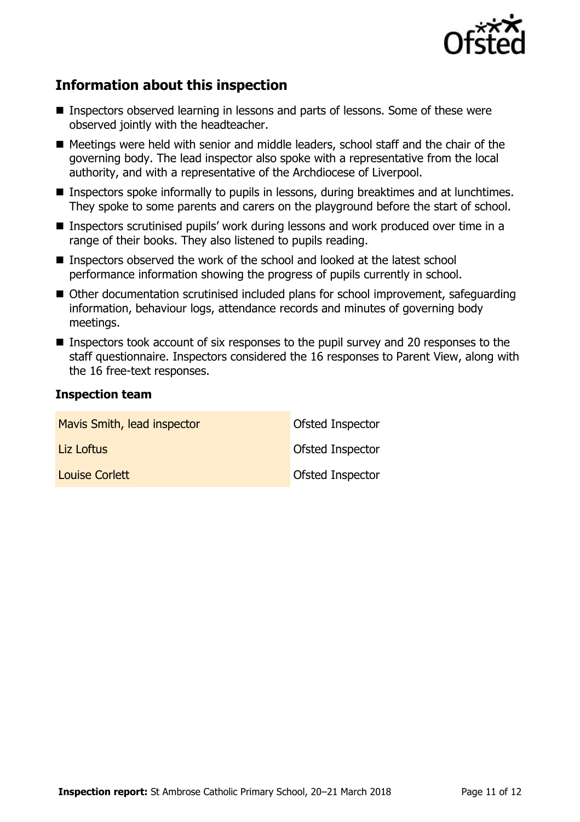

# **Information about this inspection**

- Inspectors observed learning in lessons and parts of lessons. Some of these were observed jointly with the headteacher.
- Meetings were held with senior and middle leaders, school staff and the chair of the governing body. The lead inspector also spoke with a representative from the local authority, and with a representative of the Archdiocese of Liverpool.
- Inspectors spoke informally to pupils in lessons, during breaktimes and at lunchtimes. They spoke to some parents and carers on the playground before the start of school.
- Inspectors scrutinised pupils' work during lessons and work produced over time in a range of their books. They also listened to pupils reading.
- Inspectors observed the work of the school and looked at the latest school performance information showing the progress of pupils currently in school.
- Other documentation scrutinised included plans for school improvement, safequarding information, behaviour logs, attendance records and minutes of governing body meetings.
- Inspectors took account of six responses to the pupil survey and 20 responses to the staff questionnaire. Inspectors considered the 16 responses to Parent View, along with the 16 free-text responses.

### **Inspection team**

| Mavis Smith, lead inspector | Ofsted Inspector |
|-----------------------------|------------------|
| Liz Loftus                  | Ofsted Inspector |
| Louise Corlett              | Ofsted Inspector |